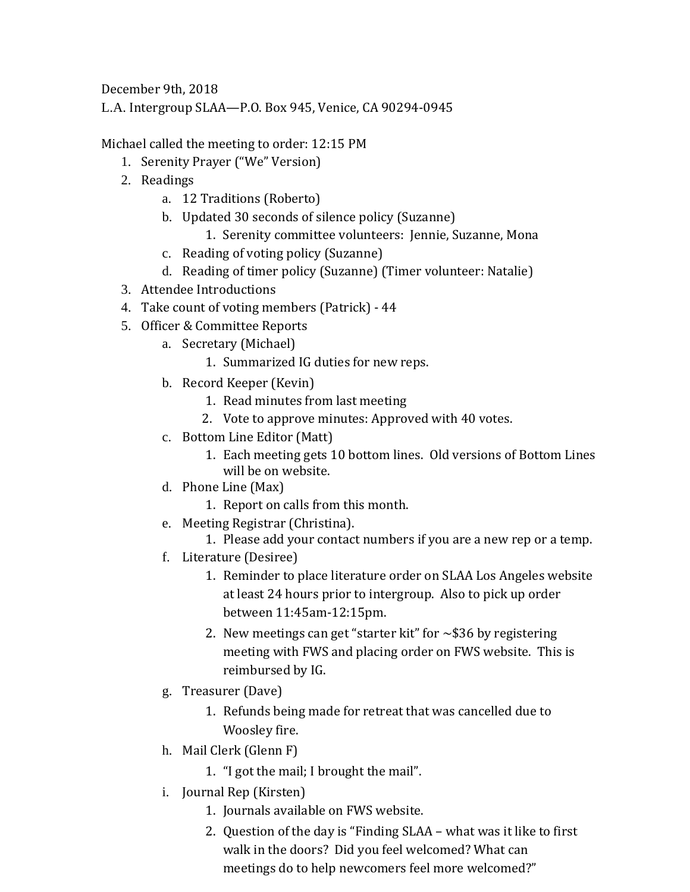December 9th, 2018

L.A. Intergroup SLAA—P.O. Box 945, Venice, CA 90294-0945

Michael called the meeting to order: 12:15 PM

- 1. Serenity Prayer ("We" Version)
- 2. Readings
	- a. 12 Traditions (Roberto)
	- b. Updated 30 seconds of silence policy (Suzanne)
		- 1. Serenity committee volunteers: Jennie, Suzanne, Mona
	- c. Reading of voting policy (Suzanne)
	- d. Reading of timer policy (Suzanne) (Timer volunteer: Natalie)
- 3. Attendee Introductions
- 4. Take count of voting members (Patrick) 44
- 5. Officer & Committee Reports
	- a. Secretary (Michael)
		- 1. Summarized IG duties for new reps.
	- b. Record Keeper (Kevin)
		- 1. Read minutes from last meeting
		- 2. Vote to approve minutes: Approved with 40 votes.
	- c. Bottom Line Editor (Matt)
		- 1. Each meeting gets 10 bottom lines. Old versions of Bottom Lines will be on website.
	- d. Phone Line (Max)
		- 1. Report on calls from this month.
	- e. Meeting Registrar (Christina).
		- 1. Please add your contact numbers if you are a new rep or a temp.
	- f. Literature (Desiree)
		- 1. Reminder to place literature order on SLAA Los Angeles website at least 24 hours prior to intergroup. Also to pick up order between 11:45am-12:15pm.
		- 2. New meetings can get "starter kit" for  $\sim$ \$36 by registering meeting with FWS and placing order on FWS website. This is reimbursed by IG.
	- g. Treasurer (Dave)
		- 1. Refunds being made for retreat that was cancelled due to Woosley fire.
	- h. Mail Clerk (Glenn F)
		- 1. "I got the mail; I brought the mail".
	- i. Journal Rep (Kirsten)
		- 1. Journals available on FWS website.
		- 2. Question of the day is "Finding SLAA what was it like to first walk in the doors? Did you feel welcomed? What can meetings do to help newcomers feel more welcomed?"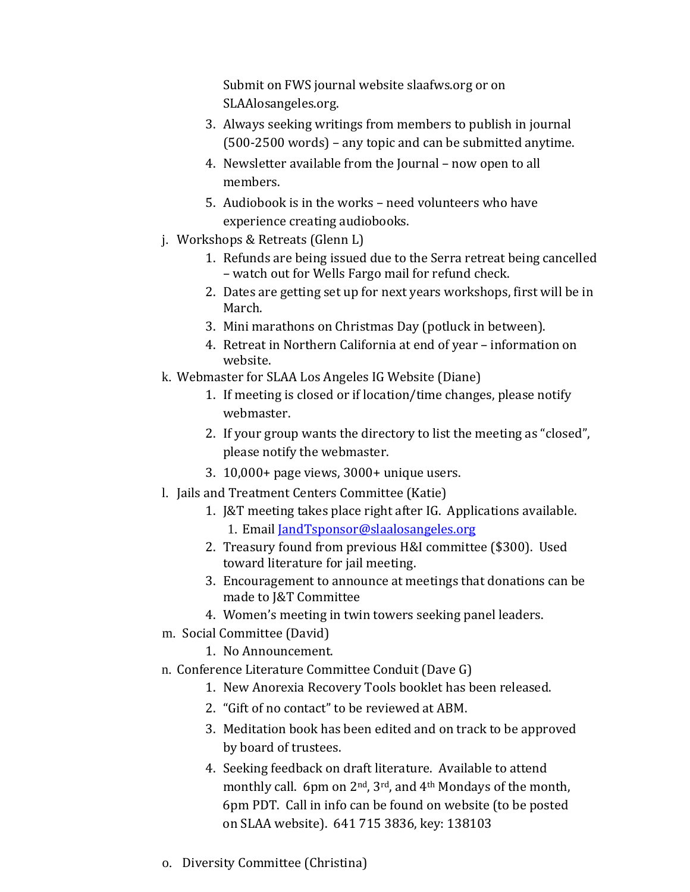Submit on FWS journal website slaafws.org or on SLAAlosangeles.org.

- 3. Always seeking writings from members to publish in journal (500-2500 words) – any topic and can be submitted anytime.
- 4. Newsletter available from the Journal now open to all members.
- 5. Audiobook is in the works need volunteers who have experience creating audiobooks.
- j. Workshops & Retreats (Glenn L)
	- 1. Refunds are being issued due to the Serra retreat being cancelled – watch out for Wells Fargo mail for refund check.
	- 2. Dates are getting set up for next years workshops, first will be in March.
	- 3. Mini marathons on Christmas Day (potluck in between).
	- 4. Retreat in Northern California at end of year information on website.
- k. Webmaster for SLAA Los Angeles IG Website (Diane)
	- 1. If meeting is closed or if location/time changes, please notify webmaster.
	- 2. If your group wants the directory to list the meeting as "closed", please notify the webmaster.
	- 3. 10,000+ page views, 3000+ unique users.
- l. Jails and Treatment Centers Committee (Katie)
	- 1. J&T meeting takes place right after IG. Applications available. 1. Email [JandTsponsor@slaalosangeles.org](mailto:JandTsponsor@slaalosangeles.org)
	- 2. Treasury found from previous H&I committee (\$300). Used toward literature for jail meeting.
	- 3. Encouragement to announce at meetings that donations can be made to J&T Committee
	- 4. Women's meeting in twin towers seeking panel leaders.
- m. Social Committee (David)
	- 1. No Announcement.
- n. Conference Literature Committee Conduit (Dave G)
	- 1. New Anorexia Recovery Tools booklet has been released.
	- 2. "Gift of no contact" to be reviewed at ABM.
	- 3. Meditation book has been edited and on track to be approved by board of trustees.
	- 4. Seeking feedback on draft literature. Available to attend monthly call. 6pm on 2nd, 3rd, and 4th Mondays of the month, 6pm PDT. Call in info can be found on website (to be posted on SLAA website). 641 715 3836, key: 138103
- o. Diversity Committee (Christina)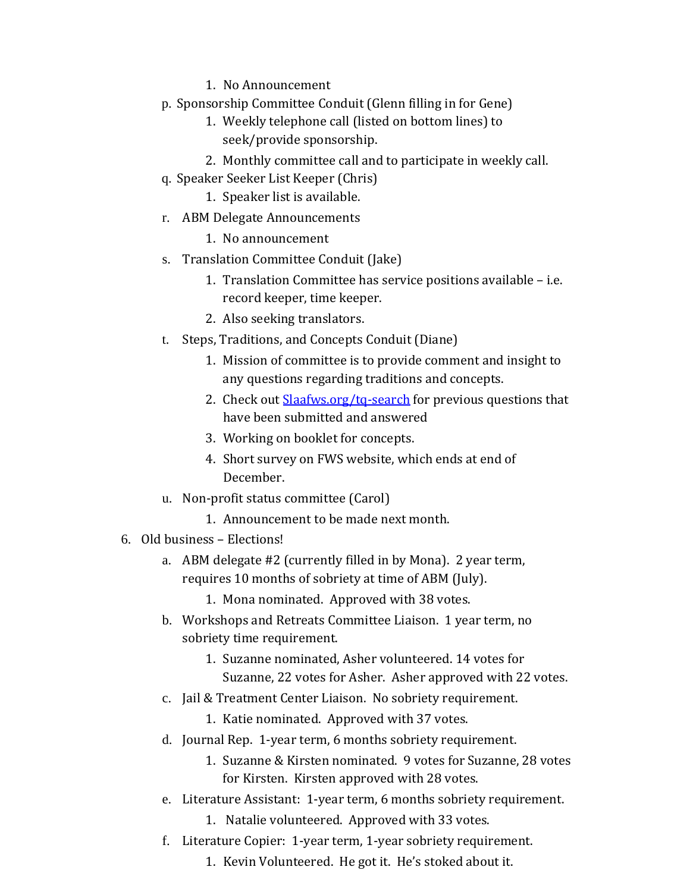- 1. No Announcement
- p. Sponsorship Committee Conduit (Glenn filling in for Gene)
	- 1. Weekly telephone call (listed on bottom lines) to seek/provide sponsorship.
	- 2. Monthly committee call and to participate in weekly call.
- q. Speaker Seeker List Keeper (Chris)
	- 1. Speaker list is available.
- r. ABM Delegate Announcements
	- 1. No announcement
- s. Translation Committee Conduit (Jake)
	- 1. Translation Committee has service positions available i.e. record keeper, time keeper.
	- 2. Also seeking translators.
- t. Steps, Traditions, and Concepts Conduit (Diane)
	- 1. Mission of committee is to provide comment and insight to any questions regarding traditions and concepts.
	- 2. Check out **Slaafws.org/tq-search** for previous questions that have been submitted and answered
	- 3. Working on booklet for concepts.
	- 4. Short survey on FWS website, which ends at end of December.
- u. Non-profit status committee (Carol)
	- 1. Announcement to be made next month.
- 6. Old business Elections!
	- a. ABM delegate #2 (currently filled in by Mona). 2 year term, requires 10 months of sobriety at time of ABM (July).
		- 1. Mona nominated. Approved with 38 votes.
	- b. Workshops and Retreats Committee Liaison. 1 year term, no sobriety time requirement.
		- 1. Suzanne nominated, Asher volunteered. 14 votes for Suzanne, 22 votes for Asher. Asher approved with 22 votes.
	- c. Jail & Treatment Center Liaison. No sobriety requirement.
		- 1. Katie nominated. Approved with 37 votes.
	- d. Journal Rep. 1-year term, 6 months sobriety requirement.
		- 1. Suzanne & Kirsten nominated. 9 votes for Suzanne, 28 votes for Kirsten. Kirsten approved with 28 votes.
	- e. Literature Assistant: 1-year term, 6 months sobriety requirement.
		- 1. Natalie volunteered. Approved with 33 votes.
	- f. Literature Copier: 1-year term, 1-year sobriety requirement.
		- 1. Kevin Volunteered. He got it. He's stoked about it.